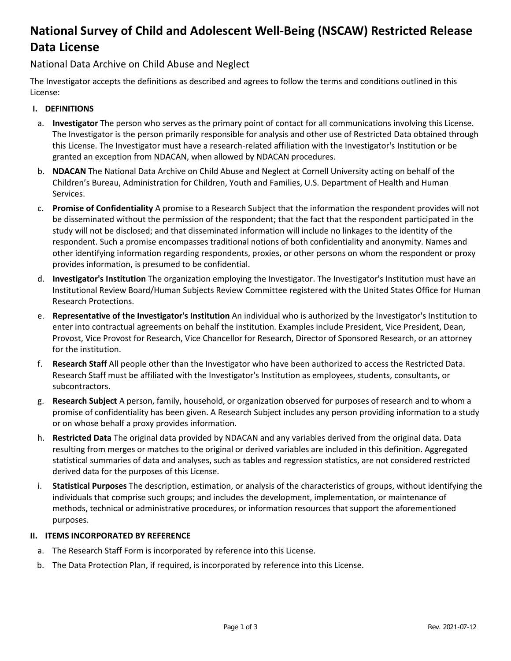# **National Survey of Child and Adolescent Well-Being (NSCAW) Restricted Release Data License**

# National Data Archive on Child Abuse and Neglect

The Investigator accepts the definitions as described and agrees to follow the terms and conditions outlined in this License:

## **I. DEFINITIONS**

- a. **Investigator** The person who serves as the primary point of contact for all communications involving this License. The Investigator is the person primarily responsible for analysis and other use of Restricted Data obtained through this License. The Investigator must have a research-related affiliation with the Investigator's Institution or be granted an exception from NDACAN, when allowed by NDACAN procedures.
- b. **NDACAN** The National Data Archive on Child Abuse and Neglect at Cornell University acting on behalf of the Children's Bureau, Administration for Children, Youth and Families, U.S. Department of Health and Human Services.
- c. **Promise of Confidentiality** A promise to a Research Subject that the information the respondent provides will not be disseminated without the permission of the respondent; that the fact that the respondent participated in the study will not be disclosed; and that disseminated information will include no linkages to the identity of the respondent. Such a promise encompasses traditional notions of both confidentiality and anonymity. Names and other identifying information regarding respondents, proxies, or other persons on whom the respondent or proxy provides information, is presumed to be confidential.
- d. **Investigator's Institution** The organization employing the Investigator. The Investigator's Institution must have an Institutional Review Board/Human Subjects Review Committee registered with the United States Office for Human Research Protections.
- e. **Representative of the Investigator's Institution** An individual who is authorized by the Investigator's Institution to enter into contractual agreements on behalf the institution. Examples include President, Vice President, Dean, Provost, Vice Provost for Research, Vice Chancellor for Research, Director of Sponsored Research, or an attorney for the institution.
- f. **Research Staff** All people other than the Investigator who have been authorized to access the Restricted Data. Research Staff must be affiliated with the Investigator's Institution as employees, students, consultants, or subcontractors.
- g. **Research Subject** A person, family, household, or organization observed for purposes of research and to whom a promise of confidentiality has been given. A Research Subject includes any person providing information to a study or on whose behalf a proxy provides information.
- h. **Restricted Data** The original data provided by NDACAN and any variables derived from the original data. Data resulting from merges or matches to the original or derived variables are included in this definition. Aggregated statistical summaries of data and analyses, such as tables and regression statistics, are not considered restricted derived data for the purposes of this License.
- i. **Statistical Purposes** The description, estimation, or analysis of the characteristics of groups, without identifying the individuals that comprise such groups; and includes the development, implementation, or maintenance of methods, technical or administrative procedures, or information resources that support the aforementioned purposes.

#### **II. ITEMS INCORPORATED BY REFERENCE**

- a. The Research Staff Form is incorporated by reference into this License.
- b. The Data Protection Plan, if required, is incorporated by reference into this License.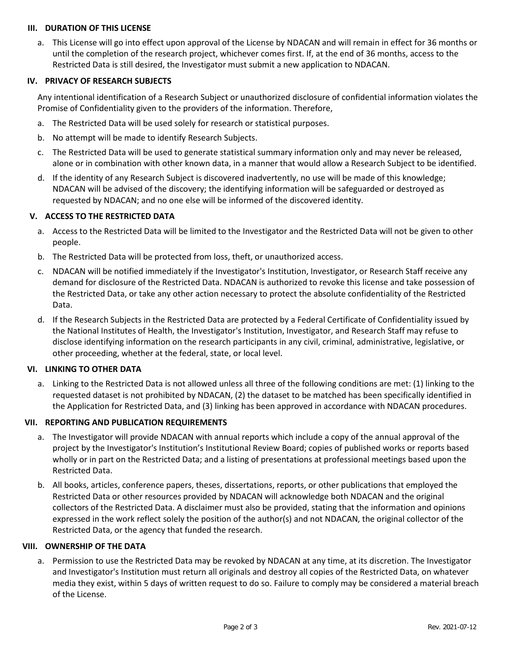# **III. DURATION OF THIS LICENSE**

a. This License will go into effect upon approval of the License by NDACAN and will remain in effect for 36 months or until the completion of the research project, whichever comes first. If, at the end of 36 months, access to the Restricted Data is still desired, the Investigator must submit a new application to NDACAN.

# **IV. PRIVACY OF RESEARCH SUBJECTS**

Any intentional identification of a Research Subject or unauthorized disclosure of confidential information violates the Promise of Confidentiality given to the providers of the information. Therefore,

- a. The Restricted Data will be used solely for research or statistical purposes.
- b. No attempt will be made to identify Research Subjects.
- c. The Restricted Data will be used to generate statistical summary information only and may never be released, alone or in combination with other known data, in a manner that would allow a Research Subject to be identified.
- d. If the identity of any Research Subject is discovered inadvertently, no use will be made of this knowledge; NDACAN will be advised of the discovery; the identifying information will be safeguarded or destroyed as requested by NDACAN; and no one else will be informed of the discovered identity.

# **V. ACCESS TO THE RESTRICTED DATA**

- a. Access to the Restricted Data will be limited to the Investigator and the Restricted Data will not be given to other people.
- b. The Restricted Data will be protected from loss, theft, or unauthorized access.
- c. NDACAN will be notified immediately if the Investigator's Institution, Investigator, or Research Staff receive any demand for disclosure of the Restricted Data. NDACAN is authorized to revoke this license and take possession of the Restricted Data, or take any other action necessary to protect the absolute confidentiality of the Restricted Data.
- d. If the Research Subjects in the Restricted Data are protected by a Federal Certificate of Confidentiality issued by the National Institutes of Health, the Investigator's Institution, Investigator, and Research Staff may refuse to disclose identifying information on the research participants in any civil, criminal, administrative, legislative, or other proceeding, whether at the federal, state, or local level.

#### **VI. LINKING TO OTHER DATA**

a. Linking to the Restricted Data is not allowed unless all three of the following conditions are met: (1) linking to the requested dataset is not prohibited by NDACAN, (2) the dataset to be matched has been specifically identified in the Application for Restricted Data, and (3) linking has been approved in accordance with NDACAN procedures.

#### **VII. REPORTING AND PUBLICATION REQUIREMENTS**

- a. The Investigator will provide NDACAN with annual reports which include a copy of the annual approval of the project by the Investigator's Institution's Institutional Review Board; copies of published works or reports based wholly or in part on the Restricted Data; and a listing of presentations at professional meetings based upon the Restricted Data.
- b. All books, articles, conference papers, theses, dissertations, reports, or other publications that employed the Restricted Data or other resources provided by NDACAN will acknowledge both NDACAN and the original collectors of the Restricted Data. A disclaimer must also be provided, stating that the information and opinions expressed in the work reflect solely the position of the author(s) and not NDACAN, the original collector of the Restricted Data, or the agency that funded the research.

#### **VIII. OWNERSHIP OF THE DATA**

a. Permission to use the Restricted Data may be revoked by NDACAN at any time, at its discretion. The Investigator and Investigator's Institution must return all originals and destroy all copies of the Restricted Data, on whatever media they exist, within 5 days of written request to do so. Failure to comply may be considered a material breach of the License.